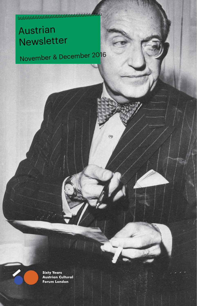# Austrian Newsletter

November & December 2016



**Sixty Years Austrian Cultural Forum London**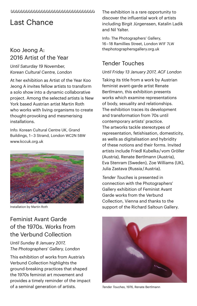# Last Chance

# Koo Jeong A: 2016 Artist of the Year

*Until Saturday 19 November, Korean Cultural Centre, London*

At her exhibition as Artist of the Year Koo Jeong A invites fellow artists to transform a solo show into a dynamic collaborative project. Among the selected artists is New York based Austrian artist Martin Roth who works with living organisms to create thought-provoking and mesmerising installations.

Info: Korean Cultural Centre UK, Grand Buildings, 1 – 3 Strand, London WC2N 5BW [www.kccuk.org.uk](http://www.kccuk.org.uk)



Installation by Martin Roth

# Feminist Avant Garde of the 1970s. Works from the Verbund Collection

### *Until Sunday 8 January 2017, The Photographers' Gallery, London*

This exhibition of works from Austria's Verbund Collection highlights the ground-breaking practices that shaped the 1970s feminist art movement and provides a timely reminder of the impact of a seminal generation of artists.

The exhibition is a rare opportunity to discover the influential work of artists including Birgit Jürgenssen, Katalin Ladik and Nil Yalter.

Info: The Photographers' Gallery, 16 – 18 Ramillies Street, London W1F 7LW [thephotographersgallery.org.uk](http://thephotographersgallery.org.uk/)

# Tender Touches

### *Until Friday 13 January 2017, ACF London*

Taking its title from a work by Austrian feminist avant-garde artist Renate Bertlmann, this exhibition presents works which examine representations of body, sexuality and relationships. The exhibition traces its development and transformation from 70s until contemporary artists' practice. The artworks tackle stereotypes of representation, fetishisation, domesticity, as wells as digitalisation and hybridity of these notions and their forms. Invited artists include Friedl Kubelka / vom Gröller (Austria), Renate Bertlmann (Austria), Eva Stenram (Sweden), Zoe Williams (UK), Julia Zastava (Russia / Austria).

*Tender Touches* is presented in connection with the Photographers' Gallery exhibition of Feminist Avant Garde works from the Verbund Collection, Vienna and thanks to the support of the Richard Saltoun Gallery.



*Tender Touches*, 1976, Renate Bertlmann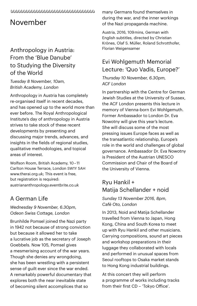# November

# Anthropology in Austria: From the 'Blue Danube' to Studying the Diversity of the World

*Tuesday 8 November, 10am, British Academy, London*

Anthropology in Austria has completely re-organised itself in recent decades, and has opened up to the world more than ever before. The Royal Anthropological Institute's day of anthropology in Austria strives to take stock of these recent developments by presenting and discussing major trends, advances, and insights in the fields of regional studies. qualitative methodologies, and topical areas of interest.

Wolfson Room, British Academy, 10 – 11 Carlton House Terrace, London SW1Y 5AH [www.therai.org.uk](http://www.therai.org.uk); This event is free, but registration is required: [austriananthropology.eventbrite.co.uk](http://austriananthropology.eventbrite.co.uk)

# A German Life

*Wednesday 9 November, 6.30pm, Odeon Swiss Cottage, London*

Brunhilde Pomsel joined the Nazi party in 1942 not because of strong conviction but because it allowed her to take a lucrative job as the secretary of Joseph Goebbels. Now 105, Pomsel gives a mesmerising account of the war years. Though she denies any wrongdoing. she has been wrestling with a persistent sense of guilt ever since the war ended. A remarkably powerful documentary that explores both the near inevitable state of becoming silent accomplices that so

many Germans found themselves in during the war, and the inner workings of the Nazi propaganda machine.

Austria, 2016, 109 mins, German with English subtitles, directed by Christian Krönes, Olaf S. Müller, Roland Schrotthofer, Florian Weigensamer

### Evi Wohlgemuth Memorial Lecture: 'Quo Vadis, Europe?'

### *Thursday 10 November, 6.30pm, ACF London*

In partnership with the Centre for German Jewish Studies at the University of Sussex, the ACF London presents this lecture in memory of Vienna-born Evi Wohlgemuth. Former Ambassador to London Dr. Eva Nowotny will give this year's lecture. She will discuss some of the most pressing issues Europe faces as well as the transatlantic relationship, Europe's role in the world and challenges of global governance. Ambassador Dr. Eva Nowotny is President of the Austrian UNESCO Commission and Chair of the Board of the University of Vienna.

# Ryu Hankil + Matija Schellander + noid

*Sunday 13 November 2016, 8pm, Café Oto, London*

In 2013, Noid and Matija Schellander travelled from Vienna to Japan, Hong Kong, China and South Korea to meet up with Ryu Hankil and other musicians. Carrying compositions, sound art pieces and workshop preparations in their luggage they collaborated with locals and performed in unusual spaces from Seoul rooftops to Osaka market stands to Hong Kong industrial buildings.

At this concert they will perform a programme of works including tracks from their first CD – 'Tokyo Office'.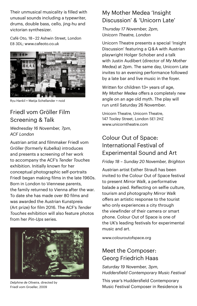Their unmusical musicality is filled with unusual sounds including a typewriter, drums, double bass, cello, jing-hu and victorian synthesizer.

Café Oto, 18 – 22 Ashwin Street, London E8 3DL; [www.cafeoto.co.uk](http://www.cafeoto.co.uk)



Ryu Hankil + Matija Schellander + noid

# Friedl vom Gröller Film Screening & Talk

*Wednesday 16 November, 7pm, ACF London*

Austrian artist and filmmaker Friedl vom Gröller (formerly Kubelka) introduces and presents a screening of her work to accompany the ACF's *Tender Touches*  exhibition. Initially known for her conceptual photographic self-portraits Friedl began making films in the late 1960s. Born in London to Viennese parents, the family returned to Vienna after the war. To date she has made over 80 films and was awarded the Austrian Kunstpreis (Art prize) for film 2016. The ACF's *Tender Touches* exhibition will also feature photos from her *Pin-Ups* series.



*Delphine de Oliveira*, directed by Friedl vom Groeller, 2009

# My Mother Medea 'Insight Discussion' & 'Unicorn Late'

*Thursday 17 November, 2pm, Unicorn Theatre, London*

Unicorn Theatre presents a special 'Insight Discussion' featuring a Q & A with Austrian playwright Holger Schober and a talk with Justin Audibert (director of *My Mother Medea*) at 2pm. The same day, Unicorn Late invites to an evening performance followed by a late bar and live music in the foyer.

Written for children 13+ years of age. *My Mother Medea* offers a completely new angle on an age old myth. The play will run until Saturday 26 November.

Unicorn Theatre, Unicorn Theatre, 147 Tooley Street, London SE1 2HZ [www.unicorntheatre.com](http://www.unicorntheatre.com)

### Colour Out of Space: International Festival of Experimental Sound and Art

*Friday 18 – Sunday 20 November, Brighton*

Austrian artist Esther Strauß has been invited to the Colour Out of Space festival to present *Mirror Walk*, a performative balade a pied. Reflecting on selfie culture, tourism and photography *Mirror Walk*  offers an artistic response to the tourist who only experiences a city through the viewfinder of their camera or smart phone. Colour Out of Space is one of the UK's leading festivals for experimental music and art.

www.colouroutofspace.org

# Meet the Composer: Georg Friedrich Haas

*Saturday 19 November, 3pm, Huddersfield Contemporary Music Festival*

This year's Huddersfield Contemporary Music Festival Composer in Residence is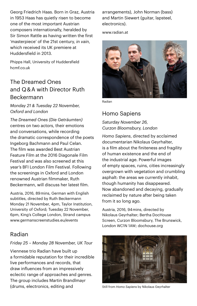Georg Friedrich Haas. Born in Graz, Austria in 1953 Haas has quietly risen to become one of the most important Austrian composers internationally, heralded by Sir Simon Rattle as having written the first 'masterpiece' of the 21st century, *in vain*, which received its UK premiere at Huddersfield in 2013.

Phipps Hall, University of Huddersfield [hcmf.co.uk](http://hcmf.co.uk/)

### The Dreamed Ones and Q & A with Director Ruth Beckermann

*Monday 21 & Tuesday 22 November, Oxford and London*

*The Dreamed Ones (Die Geträumten)*  centres on two actors, their emotions and conversations, while recording the dramatic correspondence of the poets Ingeborg Bachmann and Paul Celan. The film was awarded Best Austrian Feature Film at the 2016 Diagonale Film Festival and was also screened at this year's BFI London Film Festival. Following the screenings in Oxford and London renowned Austrian filmmaker, Ruth Beckermann, will discuss her latest film.

Austria, 2016, 89 mins, German with English subtitles, directed by Ruth Beckermann Monday 21 November, 4pm, Taylor Institution, University of Oxford; Tuesday 22 November, 6pm, King's College London, Strand campus [www.germanscreenstudies.eu/events](http://www.germanscreenstudies.eu/events)

### Radian

### *Friday 25 – Monday 28 November, UK Tour*

Viennese trio Radian have built up a formidable reputation for their incredible live performances and records, that draw influences from an impressively eclectic range of approaches and genres. The group includes Martin Brandlmayr (drums, electronics, editing and

arrangements), John Norman (bass) and Martin Siewert (guitar, lapsteel, electronics).

www.radian.at



Radian

### Homo Sapiens

*Saturday November 26, Curzon Bloomsbury, London*

*Homo Sapiens*, directed by acclaimed documentarian Nikolaus Geyrhalter, is a film about the finiteness and fragility of human existence and the end of the industrial age. Powerful images of empty spaces, ruins, cities increasingly overgrown with vegetation and crumbling asphalt: the areas we currently inhabit, though humanity has disappeared. Now abandoned and decaying, gradually reclaimed by nature after being taken from it so long ago.

Austria, 2016, 94 mins, directed by Nikolaus Geyrhalter; Bertha DocHouse Screen, Curzon Bloomsbury, The Brunswick, London WC1N 1AW; [dochouse.org](http://dochouse.org) 



Still from *Homo Sapiens* by Nikolaus Geyrhalter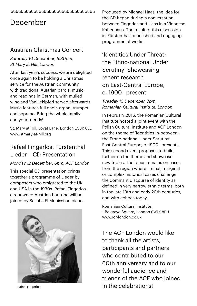# December

# Austrian Christmas Concert

*Saturday 10 December, 6:30pm, St Mary at Hill, London*

After last year's success, we are delighted once again to be holding a Christmas service for the Austrian community, with traditional Austrian carols, music and readings in German, with mulled wine and Vanillekipferl served afterwards. Music features full choir, organ, trumpet and soprano. Bring the whole family and your friends!

St. Mary at Hill, Lovat Lane, London EC3R 8EE [www.stmary-at-hill.org](http://www.stmary-at-hill.org/) 

# Rafael Fingerlos: Fürstenthal Lieder – CD Presentation

### *Monday 12 December, 6pm, ACF London*

This special CD presentation brings together a programme of Lieder by composers who emigrated to the UK and USA in the 1930s. Rafael Fingerlos, a renowned Austrian baritone will be joined by Sascha El Mouissi on piano.



Rafael Fingerlos

Produced by Michael Haas, the idea for the CD began during a conversation between Fingerlos and Haas in a Viennese Kaffeehaus. The result of this discussion is 'Fürstenthal', a polished and engaging programme of works.

# 'Identities Under Threat: the Ethno-national Under Scrutiny' Showcasing recent research on East-Central Europe, c. 1900 – present

*Tuesday 13 December, 7pm, Romanian Cultural Institute, London*

In February 2016, the Romanian Cultural Institute hosted a joint event with the Polish Cultural Institute and ACF London on the theme of 'Identities In-between: the Ethno-national Under Scrutiny: East-Central Europe, c. 1900 – present'. This second event proposes to build further on the theme and showcase new topics. The focus remains on cases from the region where liminal, marginal or complex historical cases challenge the dominant discourse of identity as defined in very narrow ethnic terms, both in the late 19th and early 20th centuries, and with echoes today.

Romanian Cultural Institute, 1 Belgrave Square, London SW1X 8PH www.icr-london.co.uk

The ACF London would like to thank all the artists, participants and partners who contributed to our 60th anniversary and to our wonderful audience and friends of the ACF who joined in the celebrations!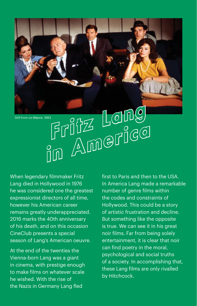# Still from *Le Mépris,* 1963<br>Frill 1723 LOING FFILLE - <sub>egg</sub>g<br>in America

When legendary filmmaker Fritz Lang died in Hollywood in 1976 he was considered one the greatest expressionist directors of all time, however his American career remains greatly underappreciated. 2016 marks the 40th anniversary of his death, and on this occasion CineClub presents a special season of Lang's American oeuvre.

At the end of the twenties the Vienna-born Lang was a giant in cinema, with prestige enough to make films on whatever scale he wished. With the rise of the Nazis in Germany Lang fled

first to Paris and then to the USA. In America Lang made a remarkable number of genre films within the codes and constraints of Hollywood. This could be a story of artistic frustration and decline. But something like the opposite is true. We can see it in his great noir films. Far from being solely entertainment, it is clear that noir can find poetry in the moral, psychological and social truths of a society. In accomplishing that, these Lang films are only rivalled by Hitchcock.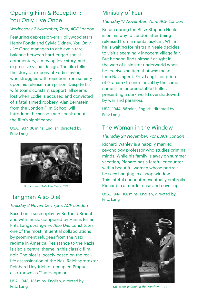### Opening Film & Reception: You Only Live Once

### *Wednesday 2 November, 7pm, ACF London*

Featuring depression-era Hollywood stars Henry Fonda and Sylvia Sidney, *You Only Live Once* manages to achieve a rare balance between hard-edged social commentary, a moving love story, and expressive visual design. The film tells the story of ex-convict Eddie Taylor, who struggles with rejection from society upon his release from prison. Despite his wife Joan's constant support, all seems lost when Eddie is accused and convicted of a fatal armed robbery. Alan Bernstein from the London Film School will introduce the season and speak about the film's significance.

USA, 1937, 86 mins, English, directed by Fritz Lang



Still from *You Only live Once*, 1937

### Hangman Also Die!

### *Tuesday 8 November, 7pm, ACF London*

Based on a screenplay by Berthold Brecht and with music composed by Hanns Eisler, Fritz Lang's *Hangman Also Die!* constitutes one of the most influential collaborations by prominent refugees from the Nazi regime in America. Resistance to the Nazis is also a central theme in this classic film noir. The plot is loosely based on the reallife assassination of the Nazi Reichsprotektor Reinhard Heydrich of occupied Prague, also known as 'The Hangman'.

USA, 1943, 135 mins, English, directed by Fritz Lang Still from *Woman in the Window*, 1944

### Ministry of Fear

### *Thursday 17 November, 7pm, ACF London*

Britain during the Blitz: Stephen Neale is on his way to London after being released from a mental asylum. While he is waiting for his train Neale decides to visit a seemingly innocent village fair. But he soon finds himself caught in the web of a sinister underworld when he receives an item that was meant for a Nazi agent. Fritz Lang's adaption of Graham Greene's novel by the same name is an unpredictable thriller, presenting a dark world overshadowed by war and paranoia.

USA, 1944, 86 mins, English, directed by Fritz Lang

### The Woman in the Window

### *Thursday 24 November, 7pm, ACF London*

Richard Wanley is a happily married psychology professor who studies criminal minds. While his family is away on summer vacation, Richard has a fateful encounter with a beautiful woman whose portrait he sees hanging in a shop window. This fateful encounter eventually embroils Richard in a murder case and cover-up.

USA, 1944, 107 mins, English, directed by Fritz Lang

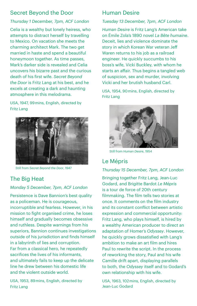### Secret Beyond the Door

### *Thursday 1 December, 7pm, ACF London*

Celia is a wealthy but lonely heiress, who attempts to distract herself by travelling to Mexico. On vacation she meets the charming architect Mark. The two get married in haste and spend a beautiful honeymoon together. As time passes, Mark's darker side is revealed and Celia uncovers his bizarre past and the curious death of his first wife. *Secret Beyond the Door* is Fritz Lang at his best, and he excels at creating a dark and haunting atmosphere in this melodrama.

USA, 1947, 99 mins, English, directed by Fritz Lang



Still from *Secret Beyond the Door*, 1947

# The Big Heat

### *Monday 5 December, 7pm, ACF London*

Persistence is Dave Bannion's best quality as a policeman. He is courageous, incorruptible and fearless. However, in his mission to fight organised crime, he loses himself and gradually becomes obsessive and ruthless. Despite warnings from his superiors, Bannion continues investigations outside of his jurisdiction and finds himself in a labyrinth of lies and corruption. Far from a classical hero, he repeatedly sacrifices the lives of his informants, and ultimately fails to keep up the delicate line he drew between his domestic life and the violent outside world.

USA, 1953, 89 mins, English, directed by Fritz Lang

### Human Desire

### *Tuesday 13 December, 7pm, ACF London*

*Human Desire* is Fritz Lang's American take on Émile Zola's 1890 novel *La Bête humaine*. Deceit, lies and violence dominate the story in which Korean War veteran Jeff Waren returns to his job as a railroad engineer. He quickly succumbs to his boss's wife, Vicki Buckley, with whom he starts an affair. Thus begins a tangled web of suspicion, sex and murder, involving Vicki and her brutish husband Carl.

USA, 1954, 90 mins, English, directed by Fritz Lang



Still from *Human Desire*, 1954

# Le Mépris

### *Thursday 15 December, 7pm, ACF London*

Bringing together Fritz Lang, Jean-Luc Godard, and Brigitte Bardot *Le Mépris* is a tour de force of 20th century filmmaking. The film tells two stories at once. It comments on the film industry and its constant conflict between artistic expression and commercial opportunity: Fritz Lang, who plays himself, is hired by a wealthy American producer to direct an adaptation of Homer's *Odyssey*. However, he quickly grows dissatisfied with Lang's ambition to make an art film and hires Paul to rewrite the script. In the process of reworking the story, Paul and his wife Camille drift apart, displaying parallels to both, the *Odyssey* itself and to Godard's own relationship with his wife.

USA, 1963, 102 mins, English, directed by Jean-Luc Godard